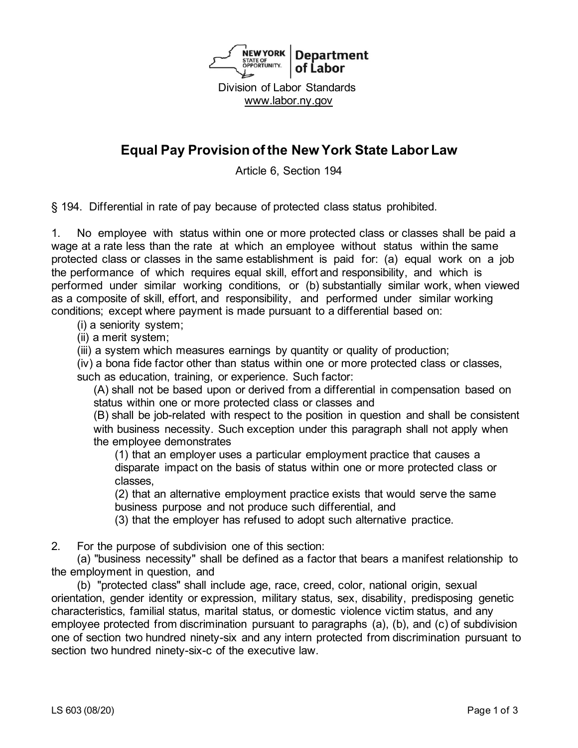

# **Equal Pay Provision of the New York State Labor Law**

Article 6, Section 194

§ 194. Differential in rate of pay because of protected class status prohibited.

1. No employee with status within one or more protected class or classes shall be paid a wage at a rate less than the rate at which an employee without status within the same protected class or classes in the same establishment is paid for: (a) equal work on a job the performance of which requires equal skill, effort and responsibility, and which is performed under similar working conditions, or (b) substantially similar work, when viewed as a composite of skill, effort, and responsibility, and performed under similar working conditions; except where payment is made pursuant to a differential based on:

(i) a seniority system;

(ii) a merit system;

(iii) a system which measures earnings by quantity or quality of production;

(iv) a bona fide factor other than status within one or more protected class or classes, such as education, training, or experience. Such factor:

(A) shall not be based upon or derived from a differential in compensation based on status within one or more protected class or classes and

(B) shall be job-related with respect to the position in question and shall be consistent with business necessity. Such exception under this paragraph shall not apply when the employee demonstrates

(1) that an employer uses a particular employment practice that causes a disparate impact on the basis of status within one or more protected class or classes,

(2) that an alternative employment practice exists that would serve the same business purpose and not produce such differential, and

(3) that the employer has refused to adopt such alternative practice.

2. For the purpose of subdivision one of this section:

(a) "business necessity" shall be defined as a factor that bears a manifest relationship to the employment in question, and

(b) "protected class" shall include age, race, creed, color, national origin, sexual orientation, gender identity or expression, military status, sex, disability, predisposing genetic characteristics, familial status, marital status, or domestic violence victim status, and any employee protected from discrimination pursuant to paragraphs (a), (b), and (c) of subdivision one of section two hundred ninety-six and any intern protected from discrimination pursuant to section two hundred ninety-six-c of the executive law.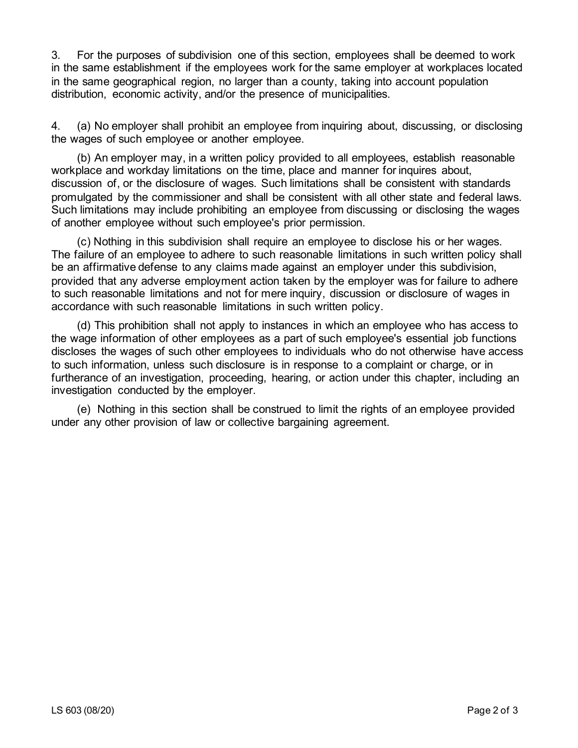3. For the purposes of subdivision one of this section, employees shall be deemed to work in the same establishment if the employees work for the same employer at workplaces located in the same geographical region, no larger than a county, taking into account population distribution, economic activity, and/or the presence of municipalities.

4. (a) No employer shall prohibit an employee from inquiring about, discussing, or disclosing the wages of such employee or another employee.

(b) An employer may, in a written policy provided to all employees, establish reasonable workplace and workday limitations on the time, place and manner for inquires about, discussion of, or the disclosure of wages. Such limitations shall be consistent with standards promulgated by the commissioner and shall be consistent with all other state and federal laws. Such limitations may include prohibiting an employee from discussing or disclosing the wages of another employee without such employee's prior permission.

(c) Nothing in this subdivision shall require an employee to disclose his or her wages. The failure of an employee to adhere to such reasonable limitations in such written policy shall be an affirmative defense to any claims made against an employer under this subdivision, provided that any adverse employment action taken by the employer was for failure to adhere to such reasonable limitations and not for mere inquiry, discussion or disclosure of wages in accordance with such reasonable limitations in such written policy.

(d) This prohibition shall not apply to instances in which an employee who has access to the wage information of other employees as a part of such employee's essential job functions discloses the wages of such other employees to individuals who do not otherwise have access to such information, unless such disclosure is in response to a complaint or charge, or in furtherance of an investigation, proceeding, hearing, or action under this chapter, including an investigation conducted by the employer.

(e) Nothing in this section shall be construed to limit the rights of an employee provided under any other provision of law or collective bargaining agreement.